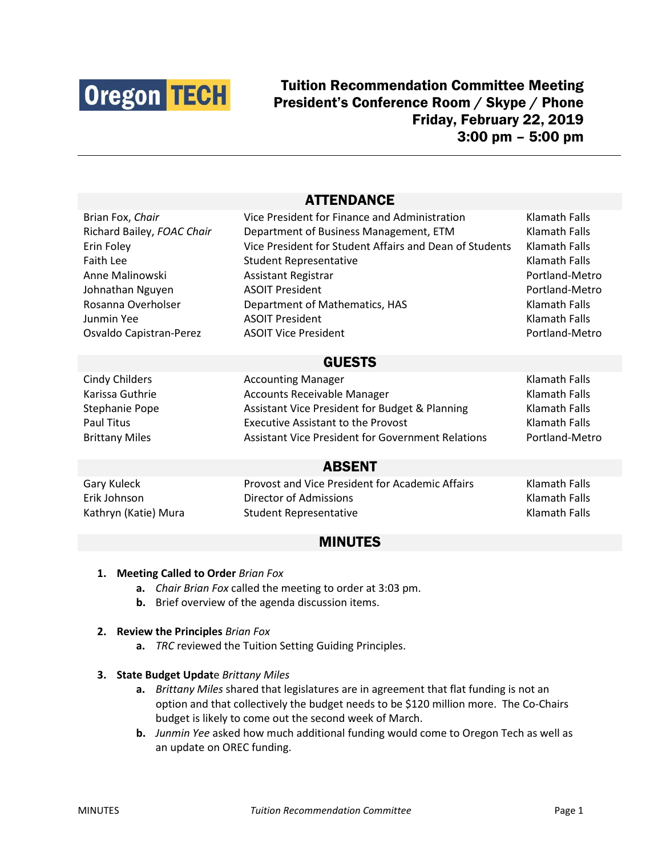

# Tuition Recommendation Committee Meeting President's Conference Room / Skype / Phone Friday, February 22, 2019 3:00 pm – 5:00 pm

## ATTENDANCE

| Brian Fox, Chair           | Vice President for Finance and Administration            | Klamath Falls  |
|----------------------------|----------------------------------------------------------|----------------|
| Richard Bailey, FOAC Chair | Department of Business Management, ETM                   | Klamath Falls  |
| Erin Foley                 | Vice President for Student Affairs and Dean of Students  | Klamath Falls  |
| Faith Lee                  | <b>Student Representative</b>                            | Klamath Falls  |
| Anne Malinowski            | <b>Assistant Registrar</b>                               | Portland-Metro |
| Johnathan Nguyen           | <b>ASOIT President</b>                                   | Portland-Metro |
| Rosanna Overholser         | Department of Mathematics, HAS                           | Klamath Falls  |
| Junmin Yee                 | <b>ASOIT President</b>                                   | Klamath Falls  |
| Osvaldo Capistran-Perez    | <b>ASOIT Vice President</b>                              | Portland-Metro |
|                            |                                                          |                |
| <b>GUESTS</b>              |                                                          |                |
| <b>Cindy Childers</b>      | <b>Accounting Manager</b>                                | Klamath Falls  |
| Karissa Guthrie            | <b>Accounts Receivable Manager</b>                       | Klamath Falls  |
| Stephanie Pope             | Assistant Vice President for Budget & Planning           | Klamath Falls  |
| <b>Paul Titus</b>          | <b>Executive Assistant to the Provost</b>                | Klamath Falls  |
| <b>Brittany Miles</b>      | <b>Assistant Vice President for Government Relations</b> | Portland-Metro |
|                            |                                                          |                |
| <b>ABSENT</b>              |                                                          |                |
| Gary Kuleck                | Provost and Vice President for Academic Affairs          | Klamath Falls  |

Erik Johnson Director of Admissions Klamath Falls Kathryn (Katie) Mura Student Representative Klamath Falls

### MINUTES

#### **1. Meeting Called to Order** *Brian Fox*

- **a.** *Chair Brian Fox* called the meeting to order at 3:03 pm.
- **b.** Brief overview of the agenda discussion items.

#### **2. Review the Principles** *Brian Fox*

- **a.** *TRC* reviewed the Tuition Setting Guiding Principles.
- **3. State Budget Updat**e *Brittany Miles*
	- **a.** *Brittany Miles* shared that legislatures are in agreement that flat funding is not an option and that collectively the budget needs to be \$120 million more. The Co-Chairs budget is likely to come out the second week of March.
	- **b.** *Junmin Yee* asked how much additional funding would come to Oregon Tech as well as an update on OREC funding.